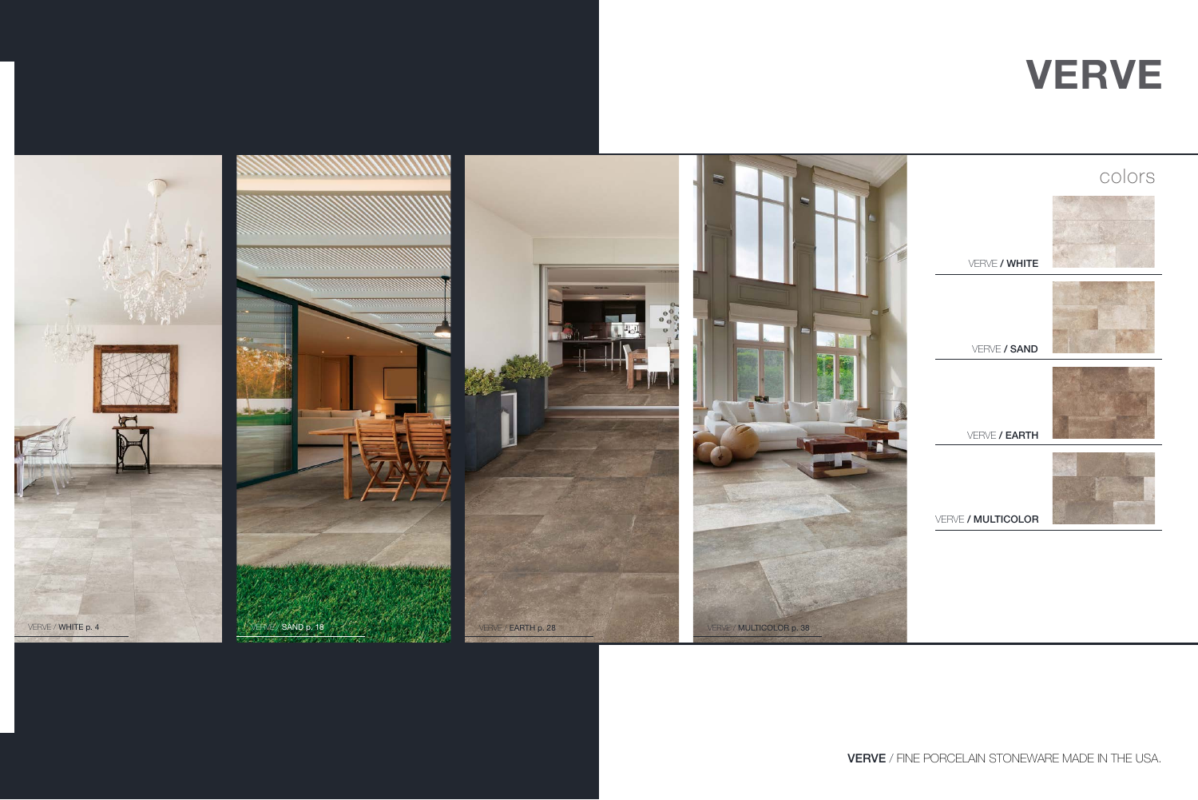

VERVE / FINE PORCELAIN STONEWARE MADE IN THE USA.

|                    | colors |
|--------------------|--------|
| VERVE / WHITE      |        |
| VERVE / SAND       |        |
| VERVE / EARTH      |        |
| VERVE / MULTICOLOR |        |
|                    |        |